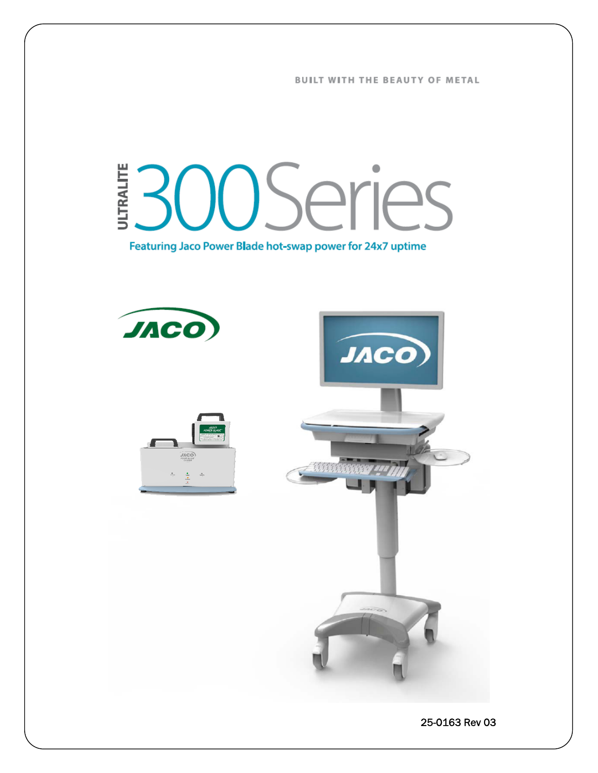**BUILT WITH THE BEAUTY OF METAL** 

# OOSeries **JLTRALITE**

Featuring Jaco Power Blade hot-swap power for 24x7 uptime

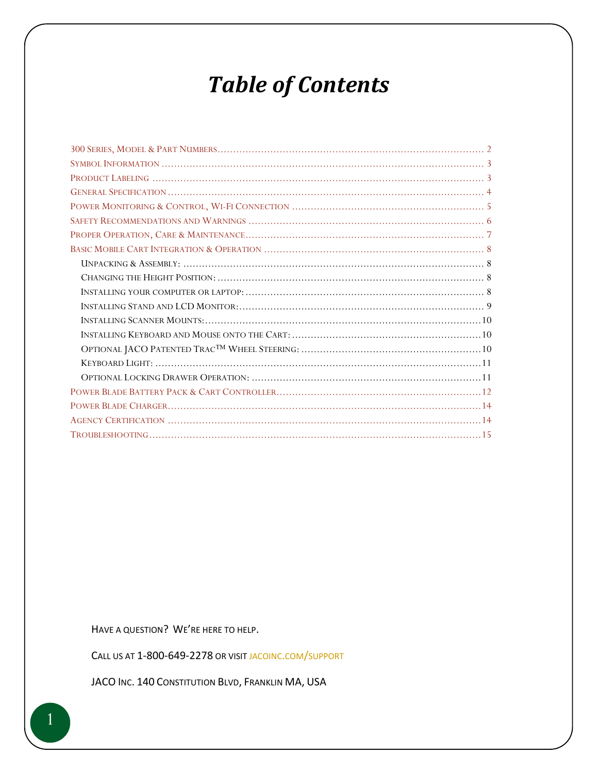## **Table of Contents**

HAVE A QUESTION? WE'RE HERE TO HELP.

CALL US AT 1-800-649-2278 OR VISIT JACOINC.COM/SUPPORT

JACO INC. 140 CONSTITUTION BLVD, FRANKLIN MA, USA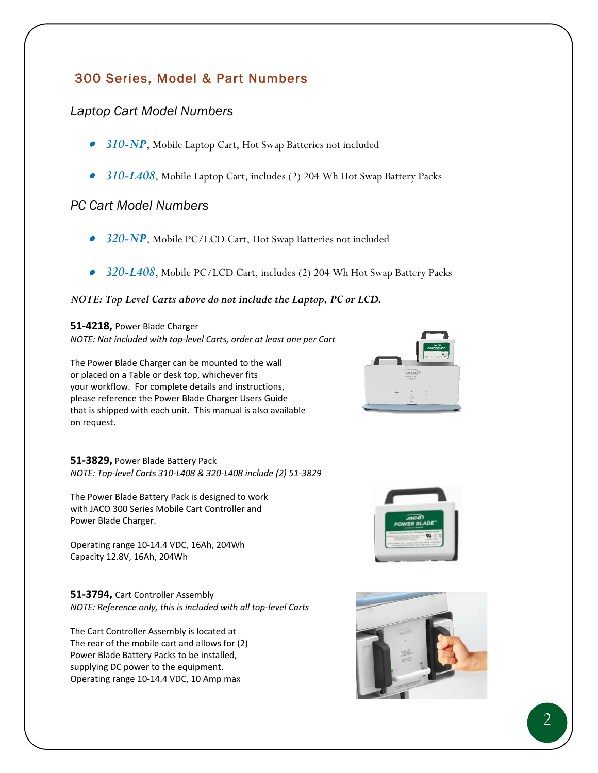## 300 Series, Model & Part Numbers

## *Laptop Cart Model Numbers*

- *310-NP*, Mobile Laptop Cart, Hot Swap Batteries not included
- *310-L408*, Mobile Laptop Cart, includes (2) 204 Wh Hot Swap Battery Packs

## *PC Cart Model Numbers*

- *320-NP*, Mobile PC/LCD Cart, Hot Swap Batteries not included
- *320-L408*, Mobile PC/LCD Cart, includes (2) 204 Wh Hot Swap Battery Packs

#### *NOTE: Top Level Carts above do not include the Laptop, PC or LCD.*

#### **51‐4218,** Power Blade Charger

*NOTE: Not included with top‐level Carts, order at least one per Cart* 

The Power Blade Charger can be mounted to the wall or placed on a Table or desk top, whichever fits your workflow. For complete details and instructions, please reference the Power Blade Charger Users Guide that is shipped with each unit. This manual is also available on request.

**51‐3829,** Power Blade Battery Pack *NOTE: Top‐level Carts 310‐L408 & 320‐L408 include (2) 51‐3829* 

The Power Blade Battery Pack is designed to work with JACO 300 Series Mobile Cart Controller and Power Blade Charger.

Operating range 10‐14.4 VDC, 16Ah, 204Wh Capacity 12.8V, 16Ah, 204Wh

**51‐3794,** Cart Controller Assembly *NOTE: Reference only, this is included with all top‐level Carts*

The Cart Controller Assembly is located at The rear of the mobile cart and allows for (2) Power Blade Battery Packs to be installed, supplying DC power to the equipment. Operating range 10‐14.4 VDC, 10 Amp max





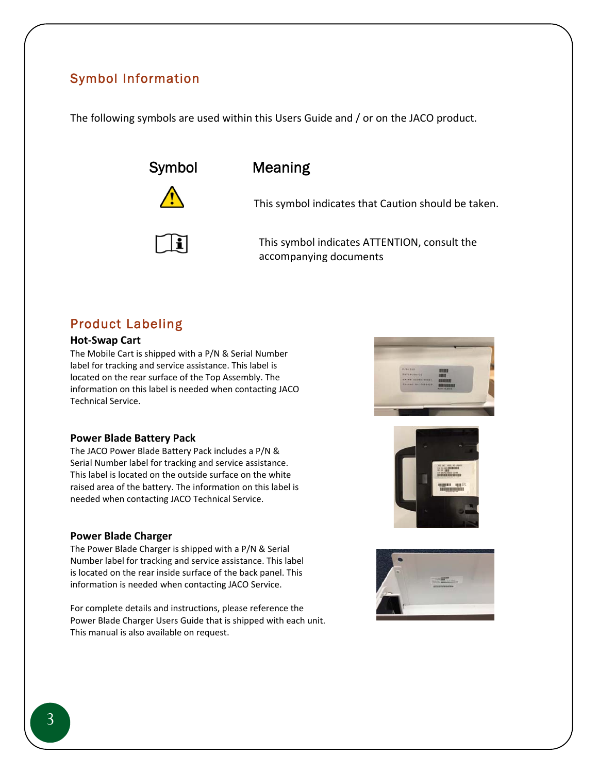## Symbol Information

The following symbols are used within this Users Guide and / or on the JACO product.



li



This symbol indicates that Caution should be taken.

This symbol indicates ATTENTION, consult the accompanying documents

## Product Labeling

#### **Hot‐Swap Cart**

The Mobile Cart is shipped with a P/N & Serial Number label for tracking and service assistance. This label is located on the rear surface of the Top Assembly. The information on this label is needed when contacting JACO Technical Service.

#### **Power Blade Battery Pack**

The JACO Power Blade Battery Pack includes a P/N & Serial Number label for tracking and service assistance. This label is located on the outside surface on the white raised area of the battery. The information on this label is needed when contacting JACO Technical Service.

#### **Power Blade Charger**

The Power Blade Charger is shipped with a P/N & Serial Number label for tracking and service assistance. This label is located on the rear inside surface of the back panel. This information is needed when contacting JACO Service.

For complete details and instructions, please reference the Power Blade Charger Users Guide that is shipped with each unit. This manual is also available on request.





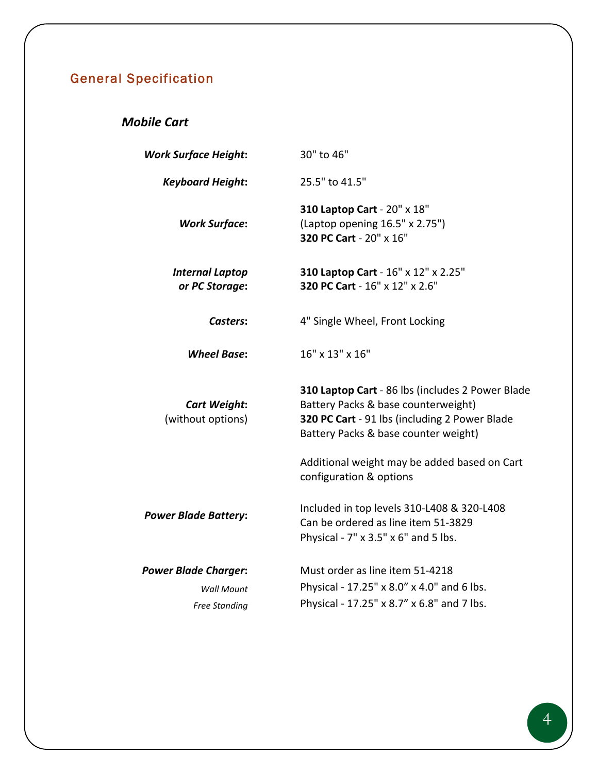## General Specification

## *Mobile Cart*

| <b>Work Surface Height:</b>                                              | 30" to 46"                                                                                                                                                                       |  |  |
|--------------------------------------------------------------------------|----------------------------------------------------------------------------------------------------------------------------------------------------------------------------------|--|--|
| <b>Keyboard Height:</b>                                                  | 25.5" to 41.5"                                                                                                                                                                   |  |  |
| <b>Work Surface:</b>                                                     | 310 Laptop Cart - 20" x 18"<br>(Laptop opening 16.5" x 2.75")<br>320 PC Cart - 20" x 16"                                                                                         |  |  |
| <b>Internal Laptop</b><br>or PC Storage:                                 | 310 Laptop Cart - 16" x 12" x 2.25"<br>320 PC Cart - 16" x 12" x 2.6"                                                                                                            |  |  |
| Casters:                                                                 | 4" Single Wheel, Front Locking                                                                                                                                                   |  |  |
| <b>Wheel Base:</b>                                                       | 16" x 13" x 16"                                                                                                                                                                  |  |  |
| <b>Cart Weight:</b><br>(without options)                                 | 310 Laptop Cart - 86 lbs (includes 2 Power Blade<br>Battery Packs & base counterweight)<br>320 PC Cart - 91 lbs (including 2 Power Blade<br>Battery Packs & base counter weight) |  |  |
|                                                                          | Additional weight may be added based on Cart<br>configuration & options                                                                                                          |  |  |
| <b>Power Blade Battery:</b>                                              | Included in top levels 310-L408 & 320-L408<br>Can be ordered as line item 51-3829<br>Physical - 7" x 3.5" x 6" and 5 lbs.                                                        |  |  |
| <b>Power Blade Charger:</b><br><b>Wall Mount</b><br><b>Free Standing</b> | Must order as line item 51-4218<br>Physical - 17.25" x 8.0" x 4.0" and 6 lbs.<br>Physical - 17.25" x 8.7" x 6.8" and 7 lbs.                                                      |  |  |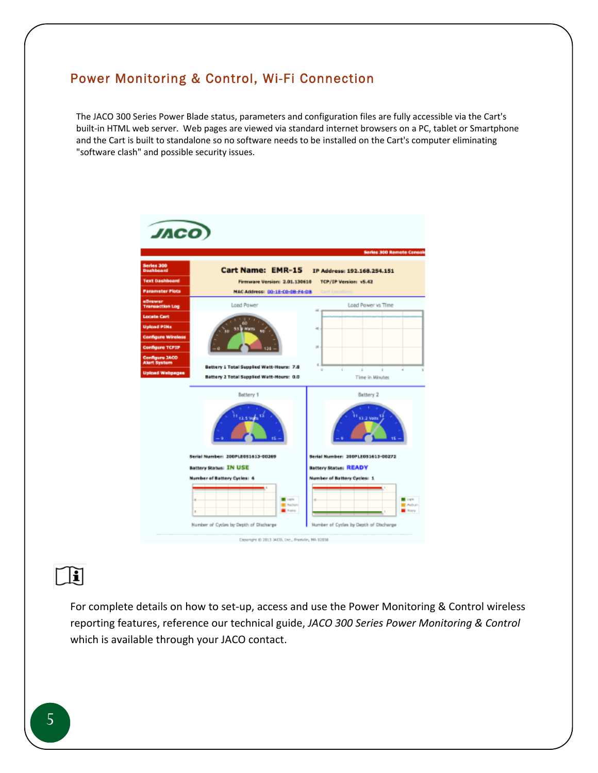## Power Monitoring & Control, Wi-Fi Connection

The JACO 300 Series Power Blade status, parameters and configuration files are fully accessible via the Cart's built-in HTML web server. Web pages are viewed via standard internet browsers on a PC, tablet or Smartphone and the Cart is built to standalone so no software needs to be installed on the Cart's computer eliminating "software clash" and possible security issues.



 $\overline{a}$  $\mathbb{H}$ 

> For complete details on how to set-up, access and use the Power Monitoring & Control wireless reporting features, reference our technical guide, *JACO 300 Series Power Monitoring & Control* which is available through your JACO contact.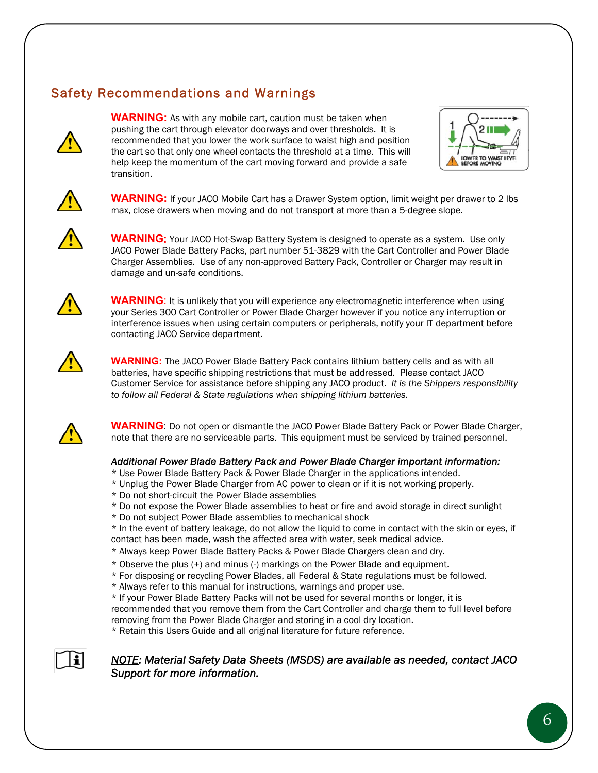## Safety Recommendations and Warnings



**WARNING:** As with any mobile cart, caution must be taken when pushing the cart through elevator doorways and over thresholds. It is recommended that you lower the work surface to waist high and position the cart so that only one wheel contacts the threshold at a time. This will help keep the momentum of the cart moving forward and provide a safe transition.





**WARNING:** If your JACO Mobile Cart has a Drawer System option, limit weight per drawer to 2 lbs max, close drawers when moving and do not transport at more than a 5-degree slope.



**WARNING**: Your JACO Hot-Swap Battery System is designed to operate as a system. Use only JACO Power Blade Battery Packs, part number 51-3829 with the Cart Controller and Power Blade Charger Assemblies. Use of any non-approved Battery Pack, Controller or Charger may result in damage and un-safe conditions.



**WARNING**: It is unlikely that you will experience any electromagnetic interference when using your Series 300 Cart Controller or Power Blade Charger however if you notice any interruption or interference issues when using certain computers or peripherals, notify your IT department before contacting JACO Service department.



**WARNING:** The JACO Power Blade Battery Pack contains lithium battery cells and as with all batteries, have specific shipping restrictions that must be addressed. Please contact JACO Customer Service for assistance before shipping any JACO product. *It is the Shippers responsibility to follow all Federal & State regulations when shipping lithium batteries.*



۱i

**WARNING**: Do not open or dismantle the JACO Power Blade Battery Pack or Power Blade Charger, note that there are no serviceable parts. This equipment must be serviced by trained personnel.

#### *Additional Power Blade Battery Pack and Power Blade Charger important information:*

- \* Use Power Blade Battery Pack & Power Blade Charger in the applications intended.
- \* Unplug the Power Blade Charger from AC power to clean or if it is not working properly.
- \* Do not short-circuit the Power Blade assemblies
- \* Do not expose the Power Blade assemblies to heat or fire and avoid storage in direct sunlight
- \* Do not subject Power Blade assemblies to mechanical shock

\* In the event of battery leakage, do not allow the liquid to come in contact with the skin or eyes, if contact has been made, wash the affected area with water, seek medical advice.

- \* Always keep Power Blade Battery Packs & Power Blade Chargers clean and dry.
- 
- \* Observe the plus (+) and minus (-) markings on the Power Blade and equipment. \* For disposing or recycling Power Blades, all Federal & State regulations must be followed.
- \* Always refer to this manual for instructions, warnings and proper use.

\* If your Power Blade Battery Packs will not be used for several months or longer, it is recommended that you remove them from the Cart Controller and charge them to full level before removing from the Power Blade Charger and storing in a cool dry location.

\* Retain this Users Guide and all original literature for future reference.

#### *NOTE: Material Safety Data Sheets (MSDS) are available as needed, contact JACO Support for more information.*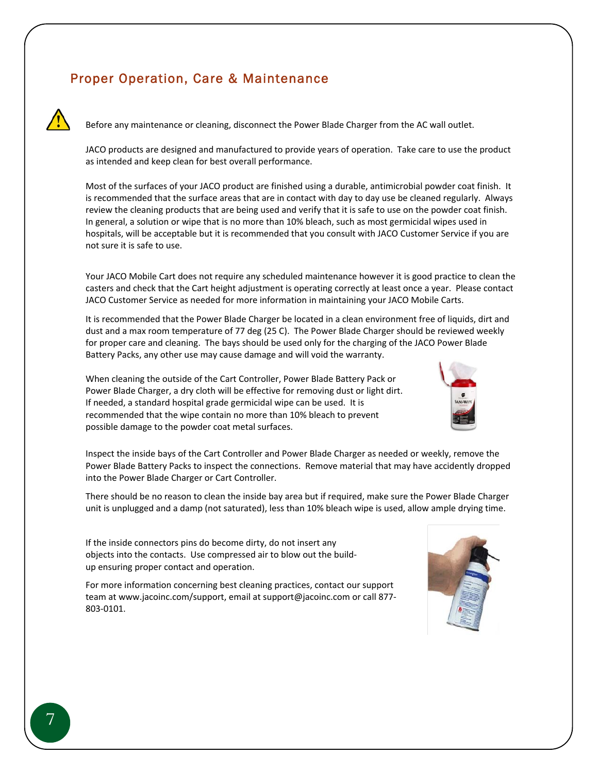## Proper Operation, Care & Maintenance



Before any maintenance or cleaning, disconnect the Power Blade Charger from the AC wall outlet.

JACO products are designed and manufactured to provide years of operation. Take care to use the product as intended and keep clean for best overall performance.

Most of the surfaces of your JACO product are finished using a durable, antimicrobial powder coat finish. It is recommended that the surface areas that are in contact with day to day use be cleaned regularly. Always review the cleaning products that are being used and verify that it is safe to use on the powder coat finish. In general, a solution or wipe that is no more than 10% bleach, such as most germicidal wipes used in hospitals, will be acceptable but it is recommended that you consult with JACO Customer Service if you are not sure it is safe to use.

Your JACO Mobile Cart does not require any scheduled maintenance however it is good practice to clean the casters and check that the Cart height adjustment is operating correctly at least once a year. Please contact JACO Customer Service as needed for more information in maintaining your JACO Mobile Carts.

It is recommended that the Power Blade Charger be located in a clean environment free of liquids, dirt and dust and a max room temperature of 77 deg (25 C). The Power Blade Charger should be reviewed weekly for proper care and cleaning. The bays should be used only for the charging of the JACO Power Blade Battery Packs, any other use may cause damage and will void the warranty.

When cleaning the outside of the Cart Controller, Power Blade Battery Pack or Power Blade Charger, a dry cloth will be effective for removing dust or light dirt. If needed, a standard hospital grade germicidal wipe can be used. It is recommended that the wipe contain no more than 10% bleach to prevent possible damage to the powder coat metal surfaces.



Inspect the inside bays of the Cart Controller and Power Blade Charger as needed or weekly, remove the Power Blade Battery Packs to inspect the connections. Remove material that may have accidently dropped into the Power Blade Charger or Cart Controller.

There should be no reason to clean the inside bay area but if required, make sure the Power Blade Charger unit is unplugged and a damp (not saturated), less than 10% bleach wipe is used, allow ample drying time.

If the inside connectors pins do become dirty, do not insert any objects into the contacts. Use compressed air to blow out the build‐ up ensuring proper contact and operation.

For more information concerning best cleaning practices, contact our support team at www.jacoinc.com/support, email at support@jacoinc.com or call 877‐ 803‐0101.

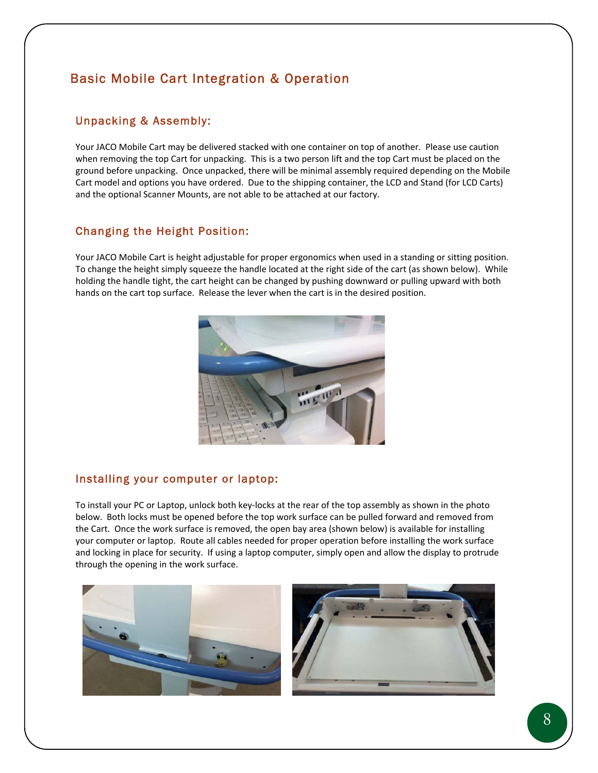## Basic Mobile Cart Integration & Operation

#### Unpacking & Assembly:

Your JACO Mobile Cart may be delivered stacked with one container on top of another. Please use caution when removing the top Cart for unpacking. This is a two person lift and the top Cart must be placed on the ground before unpacking. Once unpacked, there will be minimal assembly required depending on the Mobile Cart model and options you have ordered. Due to the shipping container, the LCD and Stand (for LCD Carts) and the optional Scanner Mounts, are not able to be attached at our factory.

#### Changing the Height Position:

Your JACO Mobile Cart is height adjustable for proper ergonomics when used in a standing or sitting position. To change the height simply squeeze the handle located at the right side of the cart (as shown below). While holding the handle tight, the cart height can be changed by pushing downward or pulling upward with both hands on the cart top surface. Release the lever when the cart is in the desired position.



#### Installing your computer or laptop:

To install your PC or Laptop, unlock both key‐locks at the rear of the top assembly as shown in the photo below. Both locks must be opened before the top work surface can be pulled forward and removed from the Cart. Once the work surface is removed, the open bay area (shown below) is available for installing your computer or laptop. Route all cables needed for proper operation before installing the work surface and locking in place for security. If using a laptop computer, simply open and allow the display to protrude through the opening in the work surface.

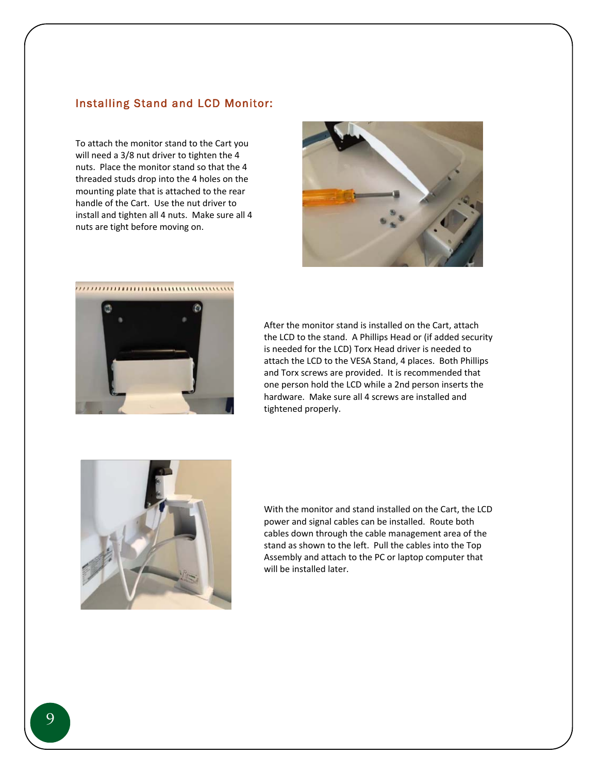#### Installing Stand and LCD Monitor:

To attach the monitor stand to the Cart you will need a 3/8 nut driver to tighten the 4 nuts. Place the monitor stand so that the 4 threaded studs drop into the 4 holes on the mounting plate that is attached to the rear handle of the Cart. Use the nut driver to install and tighten all 4 nuts. Make sure all 4 nuts are tight before moving on.





After the monitor stand is installed on the Cart, attach the LCD to the stand. A Phillips Head or (if added security is needed for the LCD) Torx Head driver is needed to attach the LCD to the VESA Stand, 4 places. Both Phillips and Torx screws are provided. It is recommended that one person hold the LCD while a 2nd person inserts the hardware. Make sure all 4 screws are installed and tightened properly.



With the monitor and stand installed on the Cart, the LCD power and signal cables can be installed. Route both cables down through the cable management area of the stand as shown to the left. Pull the cables into the Top Assembly and attach to the PC or laptop computer that will be installed later.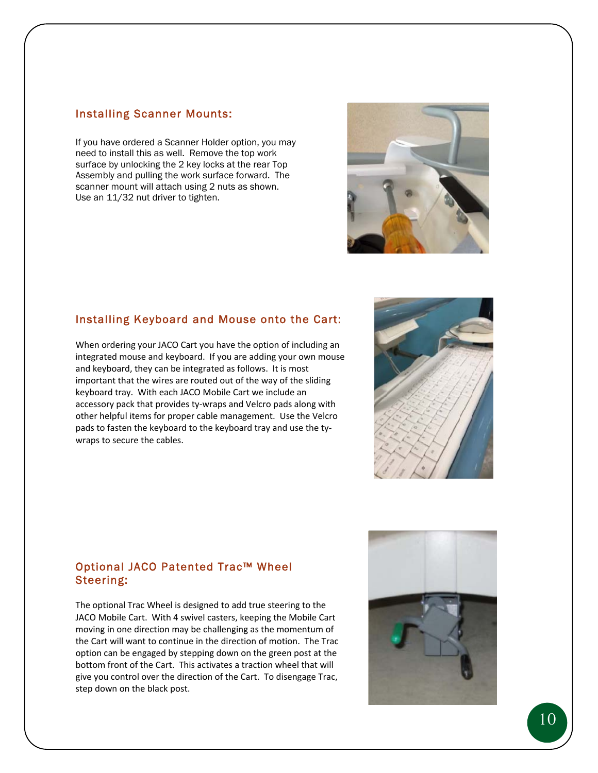#### Installing Scanner Mounts:

If you have ordered a Scanner Holder option, you may need to install this as well. Remove the top work surface by unlocking the 2 key locks at the rear Top Assembly and pulling the work surface forward. The scanner mount will attach using 2 nuts as shown. Use an 11/32 nut driver to tighten.



#### Installing Keyboard and Mouse onto the Cart:

When ordering your JACO Cart you have the option of including an integrated mouse and keyboard. If you are adding your own mouse and keyboard, they can be integrated as follows. It is most important that the wires are routed out of the way of the sliding keyboard tray. With each JACO Mobile Cart we include an accessory pack that provides ty‐wraps and Velcro pads along with other helpful items for proper cable management. Use the Velcro pads to fasten the keyboard to the keyboard tray and use the ty‐ wraps to secure the cables.



#### Optional JACO Patented Trac™ Wheel Steering:

The optional Trac Wheel is designed to add true steering to the JACO Mobile Cart. With 4 swivel casters, keeping the Mobile Cart moving in one direction may be challenging as the momentum of the Cart will want to continue in the direction of motion. The Trac option can be engaged by stepping down on the green post at the bottom front of the Cart. This activates a traction wheel that will give you control over the direction of the Cart. To disengage Trac, step down on the black post.

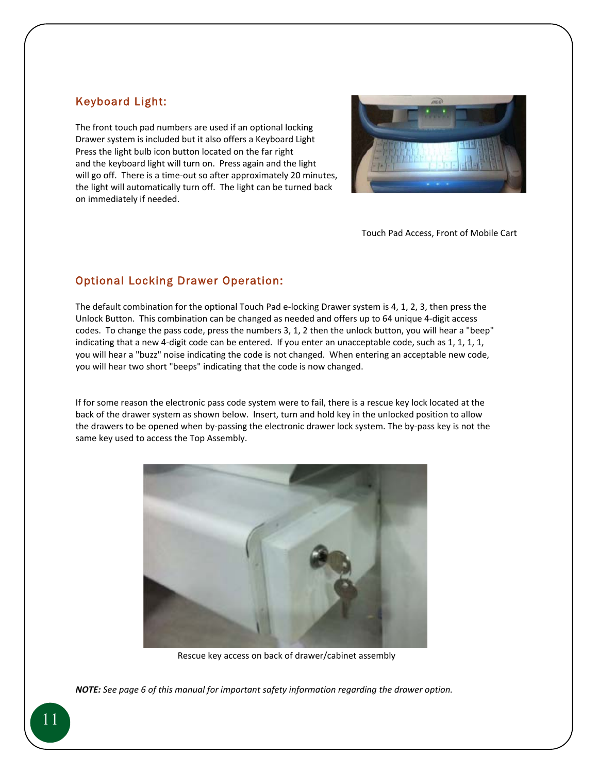#### Keyboard Light:

The front touch pad numbers are used if an optional locking Drawer system is included but it also offers a Keyboard Light Press the light bulb icon button located on the far right and the keyboard light will turn on. Press again and the light will go off. There is a time-out so after approximately 20 minutes, the light will automatically turn off. The light can be turned back on immediately if needed.



Touch Pad Access, Front of Mobile Cart

#### Optional Locking Drawer Operation:

The default combination for the optional Touch Pad e‐locking Drawer system is 4, 1, 2, 3, then press the Unlock Button. This combination can be changed as needed and offers up to 64 unique 4‐digit access codes. To change the pass code, press the numbers 3, 1, 2 then the unlock button, you will hear a "beep" indicating that a new 4-digit code can be entered. If you enter an unacceptable code, such as 1, 1, 1, 1, you will hear a "buzz" noise indicating the code is not changed. When entering an acceptable new code, you will hear two short "beeps" indicating that the code is now changed.

If for some reason the electronic pass code system were to fail, there is a rescue key lock located at the back of the drawer system as shown below. Insert, turn and hold key in the unlocked position to allow the drawers to be opened when by‐passing the electronic drawer lock system. The by‐pass key is not the same key used to access the Top Assembly.



Rescue key access on back of drawer/cabinet assembly

*NOTE: See page 6 of this manual for important safety information regarding the drawer option.*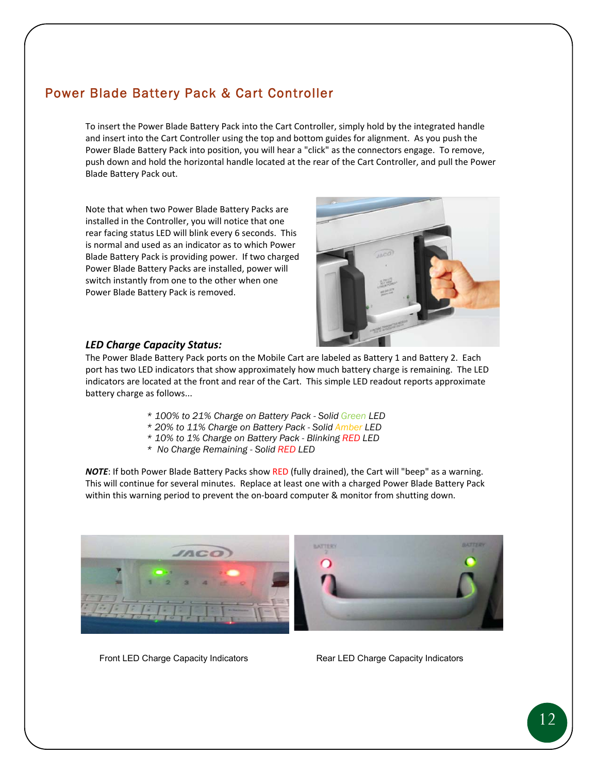## Power Blade Battery Pack & Cart Controller

To insert the Power Blade Battery Pack into the Cart Controller, simply hold by the integrated handle and insert into the Cart Controller using the top and bottom guides for alignment. As you push the Power Blade Battery Pack into position, you will hear a "click" as the connectors engage. To remove, push down and hold the horizontal handle located at the rear of the Cart Controller, and pull the Power Blade Battery Pack out.

Note that when two Power Blade Battery Packs are installed in the Controller, you will notice that one rear facing status LED will blink every 6 seconds. This is normal and used as an indicator as to which Power Blade Battery Pack is providing power. If two charged Power Blade Battery Packs are installed, power will switch instantly from one to the other when one Power Blade Battery Pack is removed.



#### *LED Charge Capacity Status:*

The Power Blade Battery Pack ports on the Mobile Cart are labeled as Battery 1 and Battery 2. Each port has two LED indicators that show approximately how much battery charge is remaining. The LED indicators are located at the front and rear of the Cart. This simple LED readout reports approximate battery charge as follows...

- *\* 100% to 21% Charge on Battery Pack Solid Green LED*
- *\* 20% to 11% Charge on Battery Pack Solid Amber LED*
- *\* 10% to 1% Charge on Battery Pack Blinking RED LED*
- *\* No Charge Remaining Solid RED LED*

*NOTE*: If both Power Blade Battery Packs show RED (fully drained), the Cart will "beep" as a warning. This will continue for several minutes. Replace at least one with a charged Power Blade Battery Pack within this warning period to prevent the on‐board computer & monitor from shutting down.



Front LED Charge Capacity Indicators **Rear LED Charge Capacity Indicators** Rear LED Charge Capacity Indicators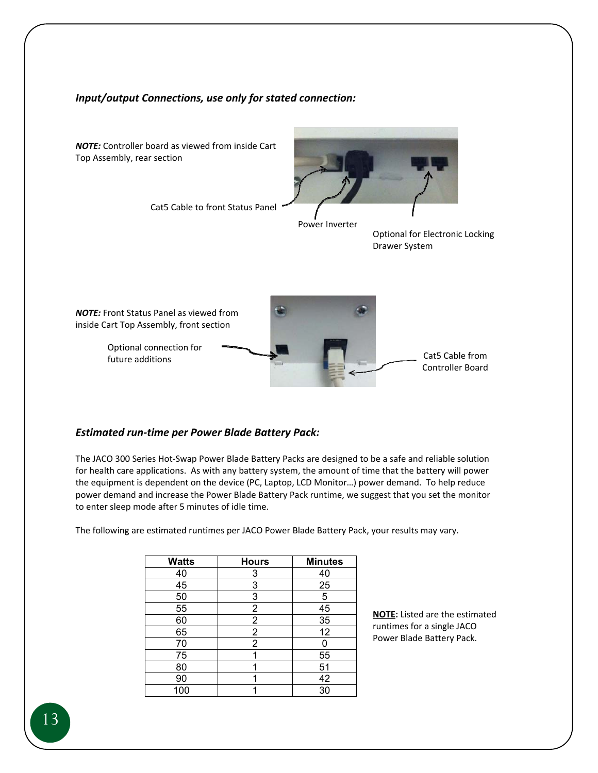#### *Input/output Connections, use only for stated connection:*



#### *Estimated run‐time per Power Blade Battery Pack:*

The JACO 300 Series Hot‐Swap Power Blade Battery Packs are designed to be a safe and reliable solution for health care applications. As with any battery system, the amount of time that the battery will power the equipment is dependent on the device (PC, Laptop, LCD Monitor…) power demand. To help reduce power demand and increase the Power Blade Battery Pack runtime, we suggest that you set the monitor to enter sleep mode after 5 minutes of idle time.

The following are estimated runtimes per JACO Power Blade Battery Pack, your results may vary.

| <b>Watts</b> | <b>Hours</b>   | <b>Minutes</b> |
|--------------|----------------|----------------|
| 40           | 3              | 40             |
| 45           | 3              | 25             |
| 50           | 3              | 5              |
| 55           | 2              | 45             |
| 60           | 2              | 35             |
| 65           | 2              | 12             |
| 70           | $\overline{2}$ |                |
| 75           |                | 55             |
| 80           |                | 51             |
| 90           |                | 42             |
| 100          |                | 30             |

**NOTE:** Listed are the estimated runtimes for a single JACO Power Blade Battery Pack.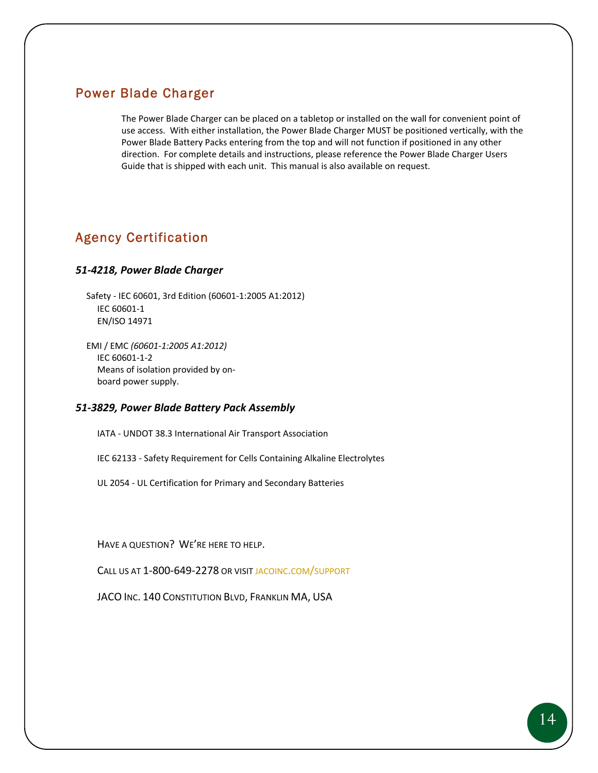## Power Blade Charger

The Power Blade Charger can be placed on a tabletop or installed on the wall for convenient point of use access. With either installation, the Power Blade Charger MUST be positioned vertically, with the Power Blade Battery Packs entering from the top and will not function if positioned in any other direction. For complete details and instructions, please reference the Power Blade Charger Users Guide that is shipped with each unit. This manual is also available on request.

## Agency Certification

#### *51‐4218, Power Blade Charger*

Safety ‐ IEC 60601, 3rd Edition (60601‐1:2005 A1:2012) IEC 60601‐1 EN/ISO 14971

EMI / EMC *(60601‐1:2005 A1:2012)* IEC 60601‐1‐2 Means of isolation provided by on‐ board power supply.

#### *51‐3829, Power Blade Battery Pack Assembly*

IATA ‐ UNDOT 38.3 International Air Transport Association

IEC 62133 ‐ Safety Requirement for Cells Containing Alkaline Electrolytes

UL 2054 ‐ UL Certification for Primary and Secondary Batteries

HAVE A QUESTION? WE'RE HERE TO HELP.

CALL US AT 1‐800‐649‐2278 OR VISIT JACOINC.COM/SUPPORT

JACO INC. 140 CONSTITUTION BLVD, FRANKLIN MA, USA